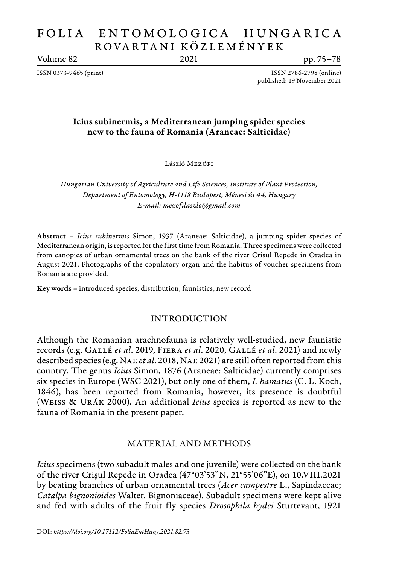# FOLIA ENTOMOLOGICA HUNGARICA ROVA RTA N I KÖZL E M É N Y E K

Volume 82 2021 pp. 75–78

ISSN 0373-9465 (print) ISSN 2786-2798 (online) published: 19 November 2021

# Icius subinermis, a Mediterranean jumping spider species new to the fauna of Romania (Araneae: Salticidae)

László Mezőfi

*Hungarian University of Agriculture and Life Sciences, Institute of Plant Protection, Department of Entomology, H-1118 Budapest, Ménesi út 44, Hungary E-mail: mezofilaszlo@gmail.com*

Abstract – *Icius subinermis* Simon, 1937 (Araneae: Salticidae), a jumping spider species of Mediterranean origin, is reported for the first time from Romania. Three specimens were collected from canopies of urban ornamental trees on the bank of the river Crișul Repede in Oradea in August 2021. Photographs of the copulatory organ and the habitus of voucher specimens from Romania are provided.

Key words – introduced species, distribution, faunistics, new record

# INTRODUCTION

Although the Romanian arachnofauna is relatively well-studied, new faunistic records (e.g. Gallé *et al*. 2019, Fiera *et al*. 2020, Gallé *et al*. 2021) and newly described species (e.g. Nae *et al*. 2018, Nae 2021) are still often reported from this country. The genus *Icius* Simon, 1876 (Araneae: Salticidae) currently comprises six species in Europe (WSC 2021), but only one of them, *I. hamatus* (C. L. Koch, 1846), has been reported from Romania, however, its presence is doubtful (Weiss & Urák 2000). An additional *Icius* species is reported as new to the fauna of Romania in the present paper.

## MATERIAL AND METHODS

*Icius* specimens (two subadult males and one juvenile) were collected on the bank of the river Crișul Repede in Oradea (47°03'53"N, 21°55'06"E), on 10.VIII.2021 by beating branches of urban ornamental trees (*Acer campestre* L., Sapindaceae; *Catalpa bignonioides* Walter, Bignoniaceae). Subadult specimens were kept alive and fed with adults of the fruit fly species *Drosophila hydei* Sturtevant, 1921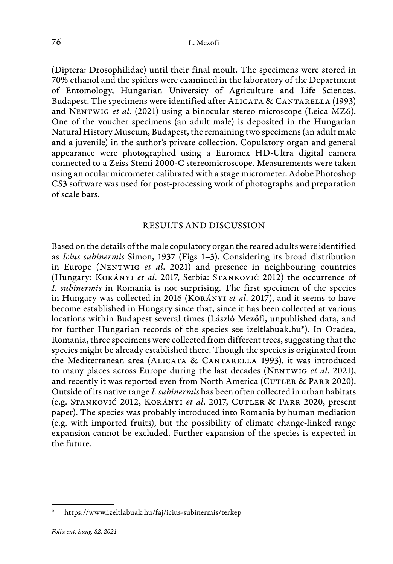(Diptera: Drosophilidae) until their final moult. The specimens were stored in 70% ethanol and the spiders were examined in the laboratory of the Department of Entomology, Hungarian University of Agriculture and Life Sciences, Budapest. The specimens were identified after ALICATA & CANTARELLA (1993) and Nentwig *et al*. (2021) using a binocular stereo microscope (Leica MZ6). One of the voucher specimens (an adult male) is deposited in the Hungarian Natural History Museum, Budapest, the remaining two specimens (an adult male and a juvenile) in the author's private collection. Copulatory organ and general appearance were photographed using a Euromex HD-Ultra digital camera connected to a Zeiss Stemi 2000-C stereomicroscope. Measurements were taken using an ocular micrometer calibrated with a stage micrometer. Adobe Photoshop CS3 software was used for post-processing work of photographs and preparation of scale bars.

### RESULTS AND DISCUSSION

Based on the details of the male copulatory organ the reared adults were identified as *Icius subinermis* Simon, 1937 (Figs 1–3). Considering its broad distribution in Europe (Nentwig *et al*. 2021) and presence in neighbouring countries (Hungary: Korányi *et al*. 2017, Serbia: Stanković 2012) the occurrence of *I. subinermis* in Romania is not surprising. The first specimen of the species in Hungary was collected in 2016 (Korányi *et al*. 2017), and it seems to have become established in Hungary since that, since it has been collected at various locations within Budapest several times (László Mezőfi, unpublished data, and for further Hungarian records of the species see izeltlabuak.hu\*). In Oradea, Romania, three specimens were collected from different trees, suggesting that the species might be already established there. Though the species is originated from the Mediterranean area (ALICATA & CANTARELLA 1993), it was introduced to many places across Europe during the last decades (NENTWIG et al. 2021), and recently it was reported even from North America (CUTLER & PARR 2020). Outside of its native range *I. subinermis* has been often collected in urban habitats (e.g. Stanković 2012, Korányi *et al*. 2017, Cutler & Parr 2020, present paper). The species was probably introduced into Romania by human mediation (e.g. with imported fruits), but the possibility of climate change-linked range expansion cannot be excluded. Further expansion of the species is expected in the future.

https://www.izeltlabuak.hu/faj/icius-subinermis/terkep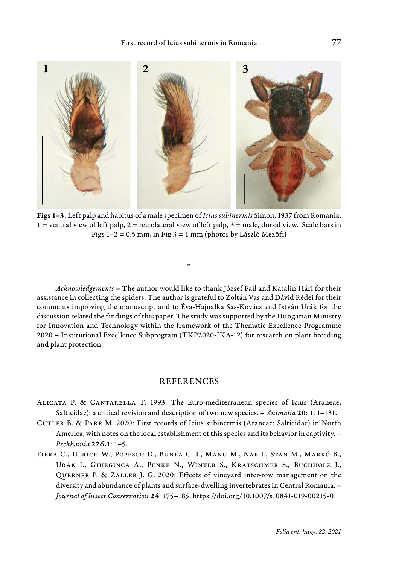

Figs 1–3. Left palp and habitus of a male specimen of *Icius subinermis* Simon, 1937 from Romania,  $1$  = ventral view of left palp,  $2$  = retrolateral view of left palp,  $3$  = male, dorsal view. Scale bars in Figs  $1-2 = 0.5$  mm, in Fig  $3 = 1$  mm (photos by László Mezőfi)

\*

*Acknowledgements* – The author would like to thank József Fail and Katalin Hári for their assistance in collecting the spiders. The author is grateful to Zoltán Vas and Dávid Rédei for their comments improving the manuscript and to Éva-Hajnalka Sas-Kovács and István Urák for the discussion related the findings of this paper. The study was supported by the Hungarian Ministry for Innovation and Technology within the framework of the Thematic Excellence Programme 2020 – Institutional Excellence Subprogram (TKP2020-IKA-12) for research on plant breeding and plant protection.

#### **REFERENCES**

- Alicata P. & Cantarella T. 1993: The Euro-mediterranean species of Icius (Araneae, Salticidae): a critical revision and description of two new species. – *Animalia* 20: 111–131.
- Cutler B. & Parr M. 2020: First records of Icius subinermis (Araneae: Salticidae) in North America, with notes on the local establishment of this species and its behavior in captivity. – *Peckhamia* 226.1: 1–5.
- Fiera C., Ulrich W., Popescu D., Bunea C. I., Manu M., Nae I., Stan M., Markó B., Urák I., Giurginca A., Penke N., Winter S., Kratschmer S., Buchholz J., Querner P. & Zaller J. G. 2020: Effects of vineyard inter-row management on the diversity and abundance of plants and surface-dwelling invertebrates in Central Romania. – *Journal of Insect Conservation* 24: 175–185. https://doi.org/10.1007/s10841-019-00215-0